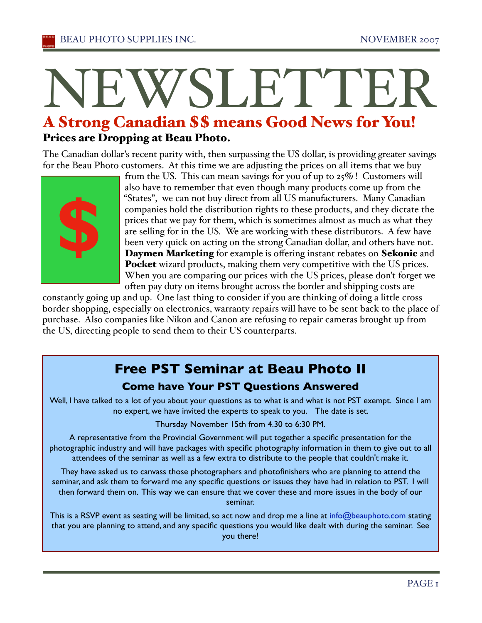# NEWSLETTEI

# A Strong Canadian \$\$ means Good News for You! Prices are Dropping at Beau Photo.

The Canadian dollar's recent parity with, then surpassing the US dollar, is providing greater savings for the Beau Photo customers. At this time we are adjusting the prices on all items that we buy



from the US. This can mean savings for you of up to 25% ! Customers will also have to remember that even though many products come up from the "States", we can not buy direct from all US manufacturers. Many Canadian companies hold the distribution rights to these products, and they dictate the prices that we pay for them, which is sometimes almost as much as what they are selling for in the US. We are working with these distributors. A few have been very quick on acting on the strong Canadian dollar, and others have not. Daymen Marketing for example is offering instant rebates on Sekonic and Pocket wizard products, making them very competitive with the US prices. When you are comparing our prices with the US prices, please don't forget we often pay duty on items brought across the border and shipping costs are

constantly going up and up. One last thing to consider if you are thinking of doing a little cross border shopping, especially on electronics, warranty repairs will have to be sent back to the place of purchase. Also companies like Nikon and Canon are refusing to repair cameras brought up from the US, directing people to send them to their US counterparts.

# **Free PST Seminar at Beau Photo II Come have Your PST Questions Answered**

Well, I have talked to a lot of you about your questions as to what is and what is not PST exempt. Since I am no expert, we have invited the experts to speak to you. The date is set.

Thursday November 15th from 4.30 to 6:30 PM.

A representative from the Provincial Government will put together a specific presentation for the photographic industry and will have packages with specific photography information in them to give out to all attendees of the seminar as well as a few extra to distribute to the people that couldn't make it.

They have asked us to canvass those photographers and photofinishers who are planning to attend the seminar, and ask them to forward me any specific questions or issues they have had in relation to PST. I will then forward them on. This way we can ensure that we cover these and more issues in the body of our seminar.

This is a RSVP event as seating will be limited, so act now and drop me a line at info@beauphoto.com stating that you are planning to attend, and any specific questions you would like dealt with during the seminar. See you there!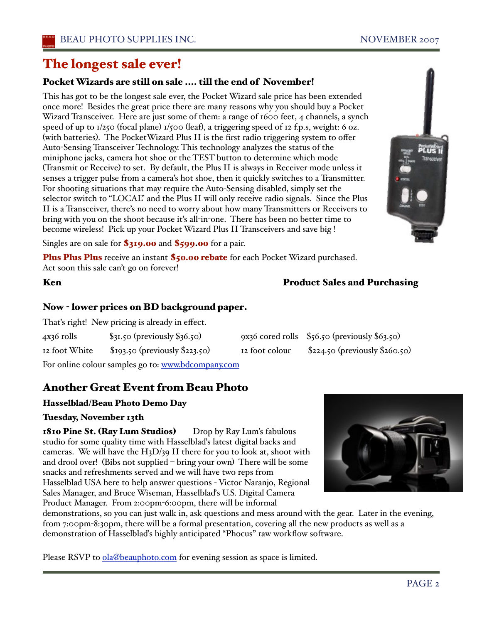# The longest sale ever!

## Pocket Wizards are still on sale .... till the end of November!

This has got to be the longest sale ever, the Pocket Wizard sale price has been extended once more! Besides the great price there are many reasons why you should buy a Pocket Wizard Transceiver. Here are just some of them: a range of 1600 feet, 4 channels, a synch speed of up to 1/250 (focal plane) 1/500 (leaf), a triggering speed of 12 f.p.s, weight: 6 oz. (with batteries). The PocketWizard Plus II is the first radio triggering system to offer Auto-Sensing Transceiver Technology. This technology analyzes the status of the miniphone jacks, camera hot shoe or the TEST button to determine which mode (Transmit or Receive) to set. By default, the Plus II is always in Receiver mode unless it senses a trigger pulse from a camera's hot shoe, then it quickly switches to a Transmitter. For shooting situations that may require the Auto-Sensing disabled, simply set the selector switch to "LOCAL" and the Plus II will only receive radio signals. Since the Plus II is a Transceiver, there's no need to worry about how many Transmitters or Receivers to bring with you on the shoot because iťs all-in-one. There has been no better time to become wireless! Pick up your Pocket Wizard Plus II Transceivers and save big !

Singles are on sale for \$319.00 and \$599.00 for a pair.

Plus Plus Plus receive an instant \$50.00 rebate for each Pocket Wizard purchased. Act soon this sale can't go on forever!

## Now - lower prices on BD background paper.

Thaťs right! New pricing is already in effect.

4x36 rolls \$31.50 (previously \$36.50) 9x36 cored rolls \$56.50 (previously \$63.50) 12 foot White \$193.50 (previously \$223.50) 12 foot colour \$224.50 (previously \$260.50)

For online colour samples go to: www.bdcompany.com

## Another Great Event from Beau Photo

#### Hasselblad/Beau Photo Demo Day

#### Tuesday, November 13th

1810 Pine St. (Ray Lum Studios) Drop by Ray Lum's fabulous studio for some quality time with Hasselblaďs latest digital backs and cameras. We will have the H3D/39 II there for you to look at, shoot with and drool over! (Bibs not supplied – bring your own) There will be some snacks and refreshments served and we will have two reps from Hasselblad USA here to help answer questions - Victor Naranjo, Regional Sales Manager, and Bruce Wiseman, Hasselblaďs U.S. Digital Camera Product Manager. From 2:00pm-6:00pm, there will be informal



demonstrations, so you can just walk in, ask questions and mess around with the gear. Later in the evening, from 7:00pm-8:30pm, there will be a formal presentation, covering all the new products as well as a demonstration of Hasselblaďs highly anticipated "Phocus" raw workflow software.

Please RSVP to ola@beauphoto.com for evening session as space is limited.



#### Ken **Product Sales and Purchasing**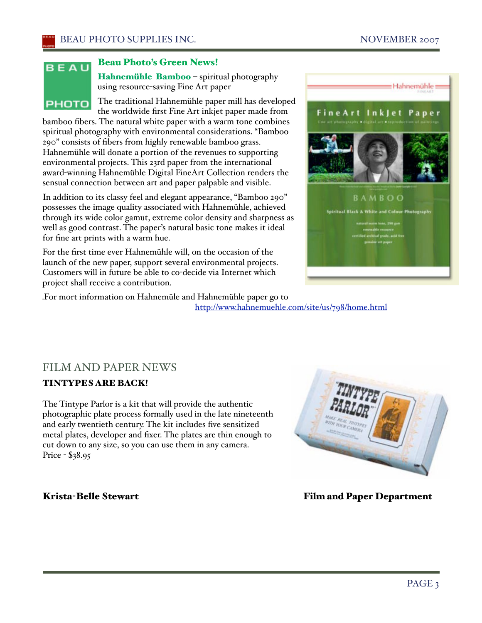# BEAU **PHOTO**

#### Beau Photo's Green News!

Hahnemühle Bamboo - spiritual photography using resource-saving Fine Art paper

The traditional Hahnemühle paper mill has developed the worldwide first Fine Art inkjet paper made from

bamboo fibers. The natural white paper with a warm tone combines spiritual photography with environmental considerations. "Bamboo 290" consists of fibers from highly renewable bamboo grass. Hahnemühle will donate a portion of the revenues to supporting environmental projects. This 23rd paper from the international award-winning Hahnemühle Digital FineArt Collection renders the sensual connection between art and paper palpable and visible.

In addition to its classy feel and elegant appearance, "Bamboo 290" possesses the image quality associated with Hahnemühle, achieved through its wide color gamut, extreme color density and sharpness as well as good contrast. The paper's natural basic tone makes it ideal for fine art prints with a warm hue.

For the first time ever Hahnemühle will, on the occasion of the launch of the new paper, support several environmental projects. Customers will in future be able to co-decide via Internet which project shall receive a contribution.



.For mort information on Hahnemüle and Hahnemühle paper go to http://www.hahnemuehle.com/site/us/798/home.html

## FILM AND PAPER NEWS

#### TINTYPES ARE BACK!

The Tintype Parlor is a kit that will provide the authentic photographic plate process formally used in the late nineteenth and early twentieth century. The kit includes five sensitized metal plates, developer and fixer. The plates are thin enough to cut down to any size, so you can use them in any camera. Price - \$38.95



Krista-Belle Stewart Film and Paper Department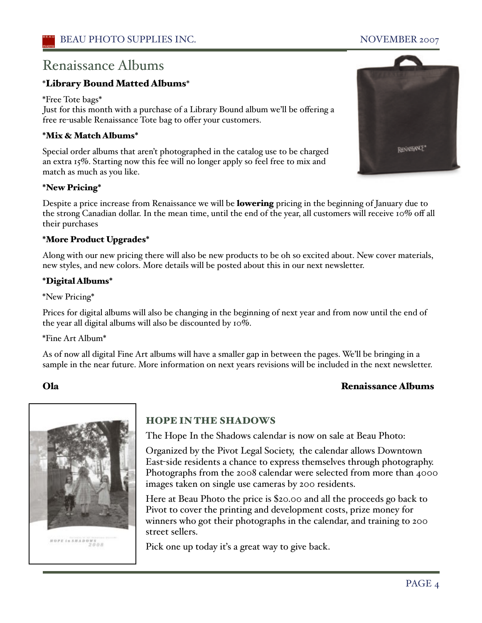# Renaissance Albums

#### \*Library Bound Matted Albums\*

\*Free Tote bags\*

Just for this month with a purchase of a Library Bound album we'll be offering a free re-usable Renaissance Tote bag to offer your customers.

#### \*Mix & Match Albums\*

Special order albums that aren't photographed in the catalog use to be charged an extra 15%. Starting now this fee will no longer apply so feel free to mix and match as much as you like.

#### \*New Pricing\*

Despite a price increase from Renaissance we will be lowering pricing in the beginning of January due to the strong Canadian dollar. In the mean time, until the end of the year, all customers will receive 10% off all their purchases

#### \*More Product Upgrades\*

Along with our new pricing there will also be new products to be oh so excited about. New cover materials, new styles, and new colors. More details will be posted about this in our next newsletter.

#### \*Digital Albums\*

\*New Pricing\*

Prices for digital albums will also be changing in the beginning of next year and from now until the end of the year all digital albums will also be discounted by 10%.

\*Fine Art Album\*

As of now all digital Fine Art albums will have a smaller gap in between the pages. We'll be bringing in a sample in the near future. More information on next years revisions will be included in the next newsletter.

#### Ola Renaissance Albums



#### HOPE IN THE SHADOWS

The Hope In the Shadows calendar is now on sale at Beau Photo:

Organized by the Pivot Legal Society, the calendar allows Downtown East-side residents a chance to express themselves through photography. Photographs from the 2008 calendar were selected from more than 4000 images taken on single use cameras by 200 residents.

Here at Beau Photo the price is \$20.00 and all the proceeds go back to Pivot to cover the printing and development costs, prize money for winners who got their photographs in the calendar, and training to 200 street sellers.

Pick one up today it's a great way to give back.

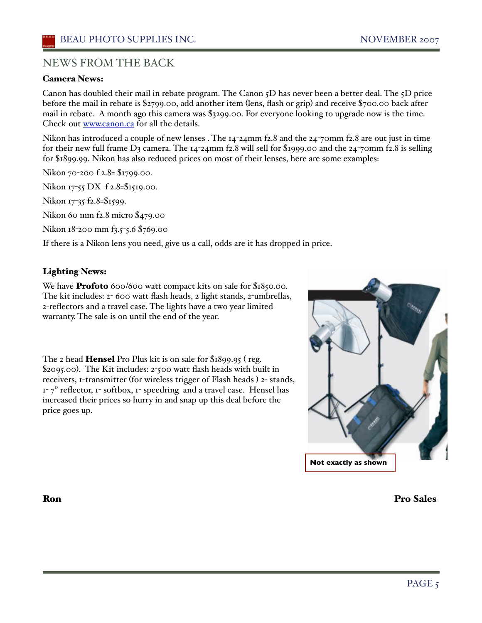#### NEWS FROM THE BACK

#### Camera News:

Canon has doubled their mail in rebate program. The Canon 5D has never been a better deal. The 5D price before the mail in rebate is \$2799.00, add another item (lens, flash or grip) and receive \$700.00 back after mail in rebate. A month ago this camera was \$3299.00. For everyone looking to upgrade now is the time. Check out www.canon.ca for all the details.

Nikon has introduced a couple of new lenses . The 14-24mm f2.8 and the 24-70mm f2.8 are out just in time for their new full frame  $D_3$  camera. The  $14$ -24mm f2.8 will sell for \$1999.00 and the 24-70mm f2.8 is selling for \$1899.99. Nikon has also reduced prices on most of their lenses, here are some examples:

Nikon 70-200 f 2.8= \$1799.00.

Nikon 17-55 DX f 2.8=\$1519.00.

Nikon 17-35 f2.8=\$1599.

Nikon 60 mm f2.8 micro \$479.00

Nikon 18-200 mm f3.5-5.6 \$769.00

If there is a Nikon lens you need, give us a call, odds are it has dropped in price.

#### Lighting News:

We have **Profoto** 600/600 watt compact kits on sale for \$1850.00. The kit includes: 2- 600 watt flash heads, 2 light stands, 2-umbrellas, 2-reflectors and a travel case. The lights have a two year limited warranty. The sale is on until the end of the year.

The 2 head Hensel Pro Plus kit is on sale for \$1899.95 ( reg. \$2095.00). The Kit includes: 2-500 watt flash heads with built in receivers, 1-transmitter (for wireless trigger of Flash heads ) 2- stands,  $1-7$ " reflector,  $1-$  softbox,  $1-$  speedring and a travel case. Hensel has increased their prices so hurry in and snap up this deal before the price goes up.



Ron Pro Sales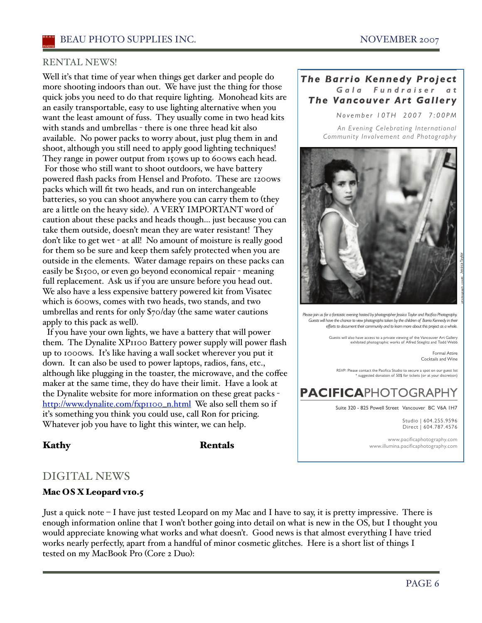#### RENTAL NEWS!

Well it's that time of year when things get darker and people do more shooting indoors than out. We have just the thing for those quick jobs you need to do that require lighting. Monohead kits are an easily transportable, easy to use lighting alternative when you want the least amount of fuss. They usually come in two head kits with stands and umbrellas - there is one three head kit also available. No power packs to worry about, just plug them in and shoot, although you still need to apply good lighting techniques! They range in power output from 150ws up to 600ws each head. For those who still want to shoot outdoors, we have battery powered flash packs from Hensel and Profoto. These are 1200ws packs which will fit two heads, and run on interchangeable batteries, so you can shoot anywhere you can carry them to (they are a little on the heavy side). AVERY IMPORTANT word of caution about these packs and heads though... just because you can take them outside, doesn't mean they are water resistant! They don't like to get wet - at all! No amount of moisture is really good for them so be sure and keep them safely protected when you are outside in the elements. Water damage repairs on these packs can easily be \$1500, or even go beyond economical repair - meaning full replacement. Ask us if you are unsure before you head out. We also have a less expensive battery powered kit from Visatec which is 600ws, comes with two heads, two stands, and two umbrellas and rents for only \$70/day (the same water cautions apply to this pack as well).

 If you have your own lights, we have a battery that will power them. The Dynalite XP1100 Battery power supply will power flash up to 1000ws. Iťs like having a wall socket wherever you put it down. It can also be used to power laptops, radios, fans, etc., although like plugging in the toaster, the microwave, and the coffee maker at the same time, they do have their limit. Have a look at the Dynalite website for more information on these great packs http://www.dynalite.com/fxp1100\_n.html We also sell them so if iťs something you think you could use, call Ron for pricing. Whatever job you have to light this winter, we can help.

#### Kathy Rentals

#### *Gala Fundr aiser at The Barrio Kennedy Project The Vancouver Art Gallery*

*November 10TH 2007 7:00PM*

*An Evening Celebrating Inter national Community Involvement and Photography*



*Please join us for a fantastic evening hosted by photographer Jessica Taylor and Pacifica Photography. Guests will have the chance to view photographs taken by the children of Barrio Kennedy in their efforts to document their community and to learn more about this project as a whole.*

Guests will also have access to a private viewing of the Vancouver Art Gallery exhibited photographic works of Alfred Stieglitz and Todd Webb

Formal Attire Cocktails and Wine

RSVP: Please contact the Pacifica Studio to secure a spot on our guest list<br>\* suggested donation of 50\$ for tickets (or at your discretion)

# **PACIFICAPHOTOGRAPHY**

Suite 320 - 825 Powell Street Vancouver BC V6A 1H7

Studio | 604.255.9596 Direct | 604.787.4576

www.pacificaphotography.com www.illumina.pacificaphotography.com

### DIGITAL NEWS

#### Mac OS X Leopard v10.5

Just a quick note – I have just tested Leopard on my Mac and I have to say, it is pretty impressive. There is enough information online that I won't bother going into detail on what is new in the OS, but I thought you would appreciate knowing what works and what doesn't. Good news is that almost everything I have tried works nearly perfectly, apart from a handful of minor cosmetic glitches. Here is a short list of things I tested on my MacBook Pro (Core 2 Duo):